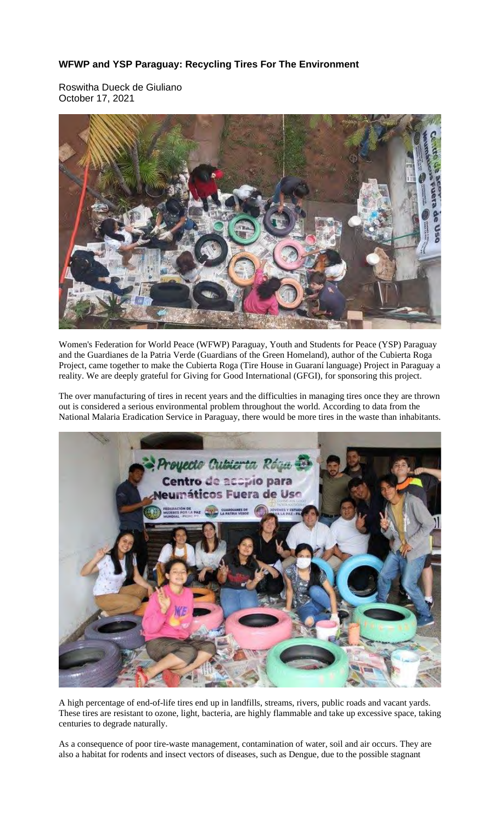## **WFWP and YSP Paraguay: Recycling Tires For The Environment**

Roswitha Dueck de Giuliano October 17, 2021



Women's Federation for World Peace (WFWP) Paraguay, Youth and Students for Peace (YSP) Paraguay and the Guardianes de la Patria Verde (Guardians of the Green Homeland), author of the Cubierta Roga Project, came together to make the Cubierta Roga (Tire House in Guaraní language) Project in Paraguay a reality. We are deeply grateful for Giving for Good International (GFGI), for sponsoring this project.

The over manufacturing of tires in recent years and the difficulties in managing tires once they are thrown out is considered a serious environmental problem throughout the world. According to data from the National Malaria Eradication Service in Paraguay, there would be more tires in the waste than inhabitants.



A high percentage of end-of-life tires end up in landfills, streams, rivers, public roads and vacant yards. These tires are resistant to ozone, light, bacteria, are highly flammable and take up excessive space, taking centuries to degrade naturally.

As a consequence of poor tire-waste management, contamination of water, soil and air occurs. They are also a habitat for rodents and insect vectors of diseases, such as Dengue, due to the possible stagnant